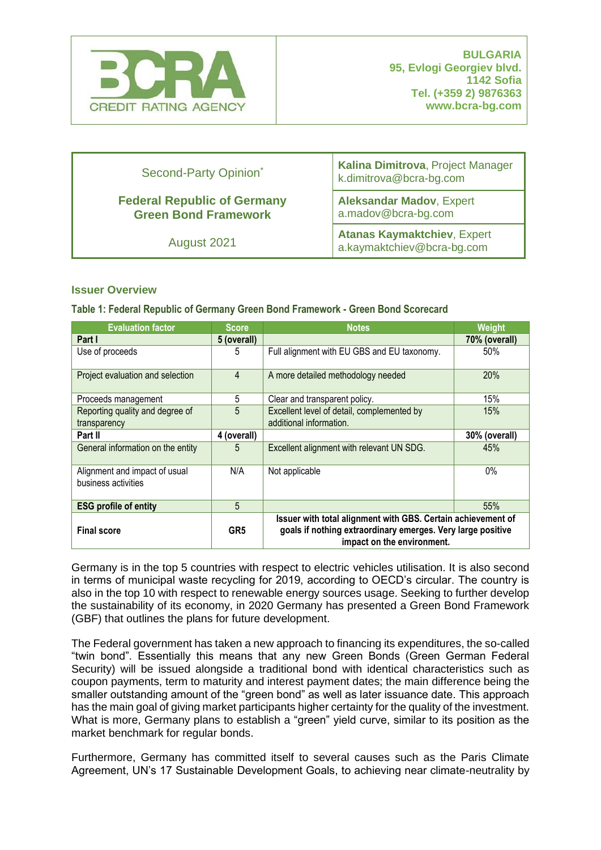

| Second-Party Opinion*                                             | Kalina Dimitrova, Project Manager<br>k.dimitrova@bcra-bg.com     |  |
|-------------------------------------------------------------------|------------------------------------------------------------------|--|
| <b>Federal Republic of Germany</b><br><b>Green Bond Framework</b> | <b>Aleksandar Madov, Expert</b><br>a.madov@bcra-bg.com           |  |
| August 2021                                                       | <b>Atanas Kaymaktchiev, Expert</b><br>a.kaymaktchiev@bcra-bg.com |  |

#### **Issuer Overview**

#### **Table 1: Federal Republic of Germany Green Bond Framework - Green Bond Scorecard**

| <b>Evaluation factor</b>                             | <b>Score</b>    | <b>Notes</b><br>Weight                                                                                                                                    |     |
|------------------------------------------------------|-----------------|-----------------------------------------------------------------------------------------------------------------------------------------------------------|-----|
| Part I                                               | 5 (overall)     | 70% (overall)                                                                                                                                             |     |
| Use of proceeds                                      | 5               | Full alignment with EU GBS and EU taxonomy.<br>50%                                                                                                        |     |
| Project evaluation and selection                     | $\overline{4}$  | 20%<br>A more detailed methodology needed                                                                                                                 |     |
| Proceeds management                                  | 5               | 15%<br>Clear and transparent policy.                                                                                                                      |     |
| Reporting quality and degree of<br>transparency      | 5               | 15%<br>Excellent level of detail, complemented by<br>additional information.                                                                              |     |
| Part II                                              | 4 (overall)     | 30% (overall)                                                                                                                                             |     |
| General information on the entity                    | 5               | Excellent alignment with relevant UN SDG.<br>45%                                                                                                          |     |
| Alignment and impact of usual<br>business activities | N/A             | $0\%$<br>Not applicable                                                                                                                                   |     |
| <b>ESG profile of entity</b>                         | 5               |                                                                                                                                                           | 55% |
| <b>Final score</b>                                   | GR <sub>5</sub> | Issuer with total alignment with GBS. Certain achievement of<br>goals if nothing extraordinary emerges. Very large positive<br>impact on the environment. |     |

Germany is in the top 5 countries with respect to electric vehicles utilisation. It is also second in terms of municipal waste recycling for 2019, according to OECD's circular. The country is also in the top 10 with respect to renewable energy sources usage. Seeking to further develop the sustainability of its economy, in 2020 Germany has presented a Green Bond Framework (GBF) that outlines the plans for future development.

The Federal government has taken a new approach to financing its expenditures, the so-called "twin bond". Essentially this means that any new Green Bonds (Green German Federal Security) will be issued alongside a traditional bond with identical characteristics such as coupon payments, term to maturity and interest payment dates; the main difference being the smaller outstanding amount of the "green bond" as well as later issuance date. This approach has the main goal of giving market participants higher certainty for the quality of the investment. What is more, Germany plans to establish a "green" yield curve, similar to its position as the market benchmark for regular bonds.

Furthermore, Germany has committed itself to several causes such as the Paris Climate Agreement, UN's 17 Sustainable Development Goals, to achieving near climate-neutrality by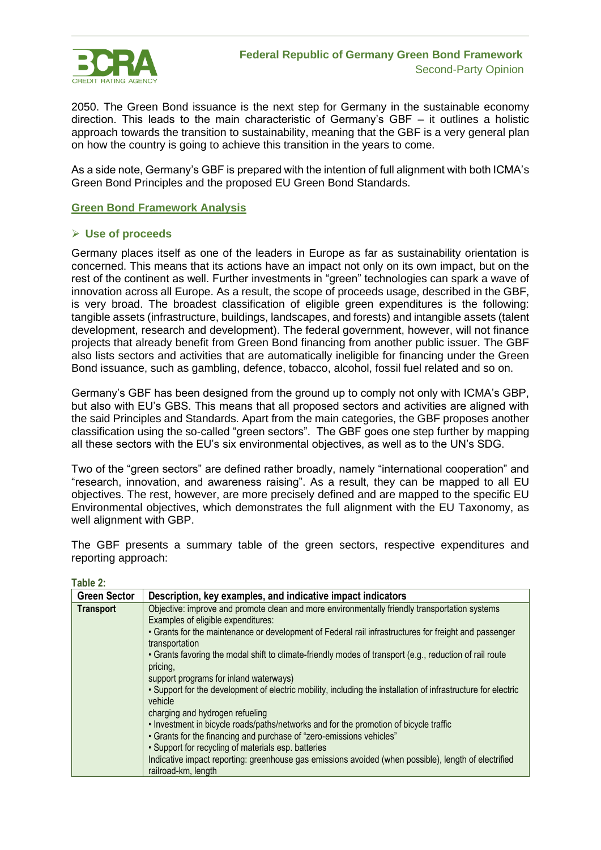

2050. The Green Bond issuance is the next step for Germany in the sustainable economy direction. This leads to the main characteristic of Germany's GBF – it outlines a holistic approach towards the transition to sustainability, meaning that the GBF is a very general plan on how the country is going to achieve this transition in the years to come.

As a side note, Germany's GBF is prepared with the intention of full alignment with both ICMA's Green Bond Principles and the proposed EU Green Bond Standards.

## **Green Bond Framework Analysis**

#### ➢ **Use of proceeds**

Germany places itself as one of the leaders in Europe as far as sustainability orientation is concerned. This means that its actions have an impact not only on its own impact, but on the rest of the continent as well. Further investments in "green" technologies can spark a wave of innovation across all Europe. As a result, the scope of proceeds usage, described in the GBF, is very broad. The broadest classification of eligible green expenditures is the following: tangible assets (infrastructure, buildings, landscapes, and forests) and intangible assets (talent development, research and development). The federal government, however, will not finance projects that already benefit from Green Bond financing from another public issuer. The GBF also lists sectors and activities that are automatically ineligible for financing under the Green Bond issuance, such as gambling, defence, tobacco, alcohol, fossil fuel related and so on.

Germany's GBF has been designed from the ground up to comply not only with ICMA's GBP, but also with EU's GBS. This means that all proposed sectors and activities are aligned with the said Principles and Standards. Apart from the main categories, the GBF proposes another classification using the so-called "green sectors". The GBF goes one step further by mapping all these sectors with the EU's six environmental objectives, as well as to the UN's SDG.

Two of the "green sectors" are defined rather broadly, namely "international cooperation" and "research, innovation, and awareness raising". As a result, they can be mapped to all EU objectives. The rest, however, are more precisely defined and are mapped to the specific EU Environmental objectives, which demonstrates the full alignment with the EU Taxonomy, as well alignment with GBP.

The GBF presents a summary table of the green sectors, respective expenditures and reporting approach:

| ۰.<br>×<br>I |  |
|--------------|--|
|--------------|--|

| <b>Green Sector</b> | Description, key examples, and indicative impact indicators                                                   |  |  |  |
|---------------------|---------------------------------------------------------------------------------------------------------------|--|--|--|
| <b>Transport</b>    | Objective: improve and promote clean and more environmentally friendly transportation systems                 |  |  |  |
|                     | Examples of eligible expenditures:                                                                            |  |  |  |
|                     | • Grants for the maintenance or development of Federal rail infrastructures for freight and passenger         |  |  |  |
|                     | transportation                                                                                                |  |  |  |
|                     | • Grants favoring the modal shift to climate-friendly modes of transport (e.g., reduction of rail route       |  |  |  |
|                     | pricing,                                                                                                      |  |  |  |
|                     | support programs for inland waterways)                                                                        |  |  |  |
|                     | . Support for the development of electric mobility, including the installation of infrastructure for electric |  |  |  |
|                     | vehicle                                                                                                       |  |  |  |
|                     | charging and hydrogen refueling                                                                               |  |  |  |
|                     | . Investment in bicycle roads/paths/networks and for the promotion of bicycle traffic                         |  |  |  |
|                     | • Grants for the financing and purchase of "zero-emissions vehicles"                                          |  |  |  |
|                     | • Support for recycling of materials esp. batteries                                                           |  |  |  |
|                     | Indicative impact reporting: greenhouse gas emissions avoided (when possible), length of electrified          |  |  |  |
|                     | railroad-km, length                                                                                           |  |  |  |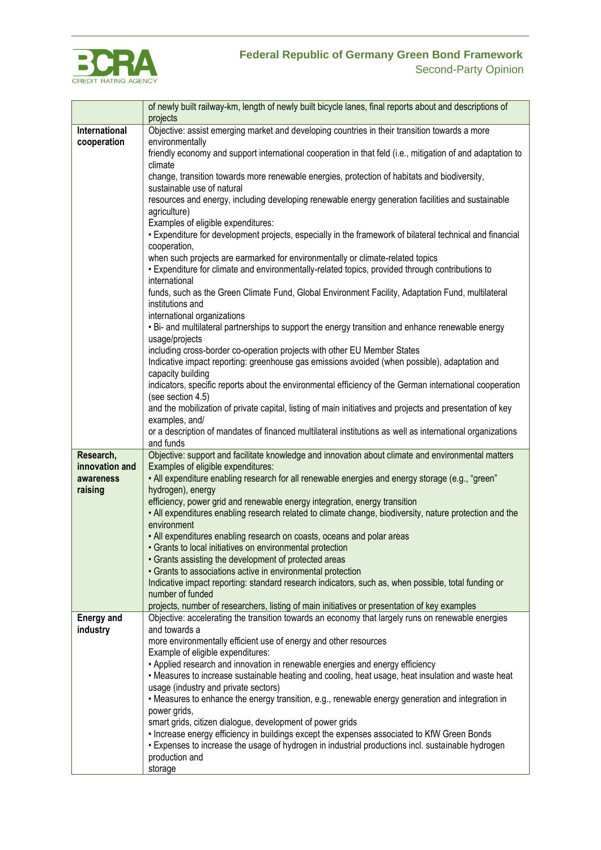

# **Federal Republic of Germany Green Bond Framework**

|                             | of newly built railway-km, length of newly built bicycle lanes, final reports about and descriptions of<br>projects                                                                               |  |  |  |
|-----------------------------|---------------------------------------------------------------------------------------------------------------------------------------------------------------------------------------------------|--|--|--|
| International               | Objective: assist emerging market and developing countries in their transition towards a more                                                                                                     |  |  |  |
| cooperation                 | environmentally                                                                                                                                                                                   |  |  |  |
|                             | friendly economy and support international cooperation in that feld (i.e., mitigation of and adaptation to<br>climate                                                                             |  |  |  |
|                             | change, transition towards more renewable energies, protection of habitats and biodiversity,                                                                                                      |  |  |  |
|                             | sustainable use of natural                                                                                                                                                                        |  |  |  |
|                             | resources and energy, including developing renewable energy generation facilities and sustainable                                                                                                 |  |  |  |
|                             | agriculture)                                                                                                                                                                                      |  |  |  |
|                             | Examples of eligible expenditures:<br>• Expenditure for development projects, especially in the framework of bilateral technical and financial                                                    |  |  |  |
|                             | cooperation,                                                                                                                                                                                      |  |  |  |
|                             | when such projects are earmarked for environmentally or climate-related topics                                                                                                                    |  |  |  |
|                             | • Expenditure for climate and environmentally-related topics, provided through contributions to                                                                                                   |  |  |  |
|                             | international                                                                                                                                                                                     |  |  |  |
|                             | funds, such as the Green Climate Fund, Global Environment Facility, Adaptation Fund, multilateral                                                                                                 |  |  |  |
|                             | institutions and<br>international organizations                                                                                                                                                   |  |  |  |
|                             | . Bi- and multilateral partnerships to support the energy transition and enhance renewable energy                                                                                                 |  |  |  |
|                             | usage/projects                                                                                                                                                                                    |  |  |  |
|                             | including cross-border co-operation projects with other EU Member States                                                                                                                          |  |  |  |
|                             | Indicative impact reporting: greenhouse gas emissions avoided (when possible), adaptation and                                                                                                     |  |  |  |
|                             | capacity building                                                                                                                                                                                 |  |  |  |
|                             | indicators, specific reports about the environmental efficiency of the German international cooperation<br>(see section 4.5)                                                                      |  |  |  |
|                             | and the mobilization of private capital, listing of main initiatives and projects and presentation of key                                                                                         |  |  |  |
|                             | examples, and/                                                                                                                                                                                    |  |  |  |
|                             | or a description of mandates of financed multilateral institutions as well as international organizations                                                                                         |  |  |  |
|                             | and funds                                                                                                                                                                                         |  |  |  |
| Research,<br>innovation and | Objective: support and facilitate knowledge and innovation about climate and environmental matters<br>Examples of eligible expenditures:                                                          |  |  |  |
| awareness                   | • All expenditure enabling research for all renewable energies and energy storage (e.g., "green"                                                                                                  |  |  |  |
| raising                     | hydrogen), energy                                                                                                                                                                                 |  |  |  |
|                             | efficiency, power grid and renewable energy integration, energy transition                                                                                                                        |  |  |  |
|                             | . All expenditures enabling research related to climate change, biodiversity, nature protection and the                                                                                           |  |  |  |
|                             | environment                                                                                                                                                                                       |  |  |  |
|                             | • All expenditures enabling research on coasts, oceans and polar areas<br>• Grants to local initiatives on environmental protection                                                               |  |  |  |
|                             | • Grants assisting the development of protected areas                                                                                                                                             |  |  |  |
|                             | • Grants to associations active in environmental protection                                                                                                                                       |  |  |  |
|                             | Indicative impact reporting: standard research indicators, such as, when possible, total funding or                                                                                               |  |  |  |
|                             | number of funded                                                                                                                                                                                  |  |  |  |
| <b>Energy and</b>           | projects, number of researchers, listing of main initiatives or presentation of key examples<br>Objective: accelerating the transition towards an economy that largely runs on renewable energies |  |  |  |
| industry                    | and towards a                                                                                                                                                                                     |  |  |  |
|                             | more environmentally efficient use of energy and other resources                                                                                                                                  |  |  |  |
|                             | Example of eligible expenditures:                                                                                                                                                                 |  |  |  |
|                             | • Applied research and innovation in renewable energies and energy efficiency                                                                                                                     |  |  |  |
|                             | • Measures to increase sustainable heating and cooling, heat usage, heat insulation and waste heat<br>usage (industry and private sectors)                                                        |  |  |  |
|                             | • Measures to enhance the energy transition, e.g., renewable energy generation and integration in                                                                                                 |  |  |  |
|                             | power grids,                                                                                                                                                                                      |  |  |  |
|                             | smart grids, citizen dialogue, development of power grids                                                                                                                                         |  |  |  |
|                             | . Increase energy efficiency in buildings except the expenses associated to KfW Green Bonds                                                                                                       |  |  |  |
|                             | • Expenses to increase the usage of hydrogen in industrial productions incl. sustainable hydrogen                                                                                                 |  |  |  |
|                             | production and<br>storage                                                                                                                                                                         |  |  |  |
|                             |                                                                                                                                                                                                   |  |  |  |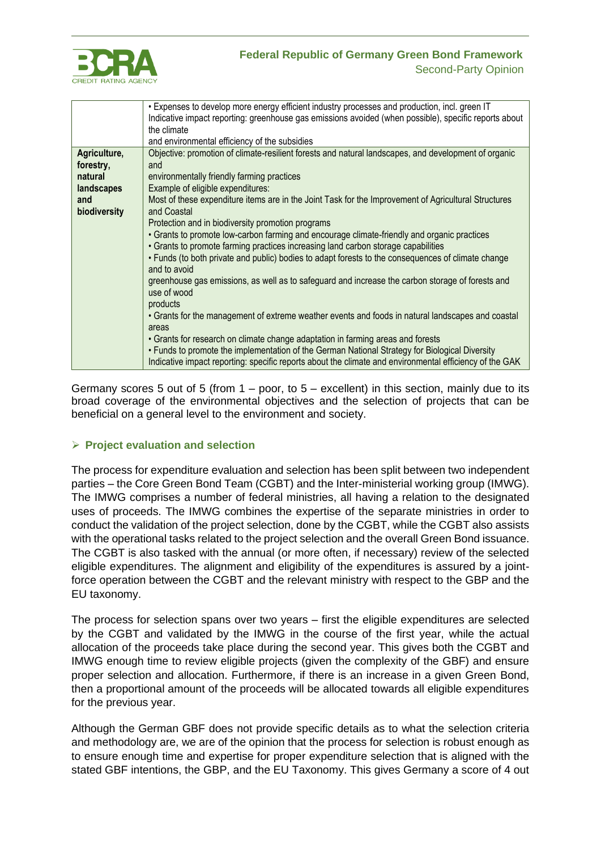

## **Federal Republic of Germany Green Bond Framework** Second-Party Opinion

|              | • Expenses to develop more energy efficient industry processes and production, incl. green IT                      |  |  |  |
|--------------|--------------------------------------------------------------------------------------------------------------------|--|--|--|
|              | Indicative impact reporting: greenhouse gas emissions avoided (when possible), specific reports about              |  |  |  |
|              | the climate                                                                                                        |  |  |  |
|              | and environmental efficiency of the subsidies                                                                      |  |  |  |
| Agriculture, | Objective: promotion of climate-resilient forests and natural landscapes, and development of organic               |  |  |  |
| forestry,    | and                                                                                                                |  |  |  |
| natural      | environmentally friendly farming practices                                                                         |  |  |  |
| landscapes   | Example of eligible expenditures:                                                                                  |  |  |  |
| and          | Most of these expenditure items are in the Joint Task for the Improvement of Agricultural Structures               |  |  |  |
| biodiversity | and Coastal                                                                                                        |  |  |  |
|              | Protection and in biodiversity promotion programs                                                                  |  |  |  |
|              | • Grants to promote low-carbon farming and encourage climate-friendly and organic practices                        |  |  |  |
|              | • Grants to promote farming practices increasing land carbon storage capabilities                                  |  |  |  |
|              | • Funds (to both private and public) bodies to adapt forests to the consequences of climate change<br>and to avoid |  |  |  |
|              | greenhouse gas emissions, as well as to safeguard and increase the carbon storage of forests and                   |  |  |  |
|              | use of wood                                                                                                        |  |  |  |
|              | products                                                                                                           |  |  |  |
|              | • Grants for the management of extreme weather events and foods in natural landscapes and coastal                  |  |  |  |
|              | areas                                                                                                              |  |  |  |
|              | • Grants for research on climate change adaptation in farming areas and forests                                    |  |  |  |
|              | • Funds to promote the implementation of the German National Strategy for Biological Diversity                     |  |  |  |
|              | Indicative impact reporting: specific reports about the climate and environmental efficiency of the GAK            |  |  |  |

Germany scores 5 out of 5 (from  $1 -$  poor, to  $5 -$  excellent) in this section, mainly due to its broad coverage of the environmental objectives and the selection of projects that can be beneficial on a general level to the environment and society.

## ➢ **Project evaluation and selection**

The process for expenditure evaluation and selection has been split between two independent parties – the Core Green Bond Team (CGBT) and the Inter-ministerial working group (IMWG). The IMWG comprises a number of federal ministries, all having a relation to the designated uses of proceeds. The IMWG combines the expertise of the separate ministries in order to conduct the validation of the project selection, done by the CGBT, while the CGBT also assists with the operational tasks related to the project selection and the overall Green Bond issuance. The CGBT is also tasked with the annual (or more often, if necessary) review of the selected eligible expenditures. The alignment and eligibility of the expenditures is assured by a jointforce operation between the CGBT and the relevant ministry with respect to the GBP and the EU taxonomy.

The process for selection spans over two years – first the eligible expenditures are selected by the CGBT and validated by the IMWG in the course of the first year, while the actual allocation of the proceeds take place during the second year. This gives both the CGBT and IMWG enough time to review eligible projects (given the complexity of the GBF) and ensure proper selection and allocation. Furthermore, if there is an increase in a given Green Bond, then a proportional amount of the proceeds will be allocated towards all eligible expenditures for the previous year.

Although the German GBF does not provide specific details as to what the selection criteria and methodology are, we are of the opinion that the process for selection is robust enough as to ensure enough time and expertise for proper expenditure selection that is aligned with the stated GBF intentions, the GBP, and the EU Taxonomy. This gives Germany a score of 4 out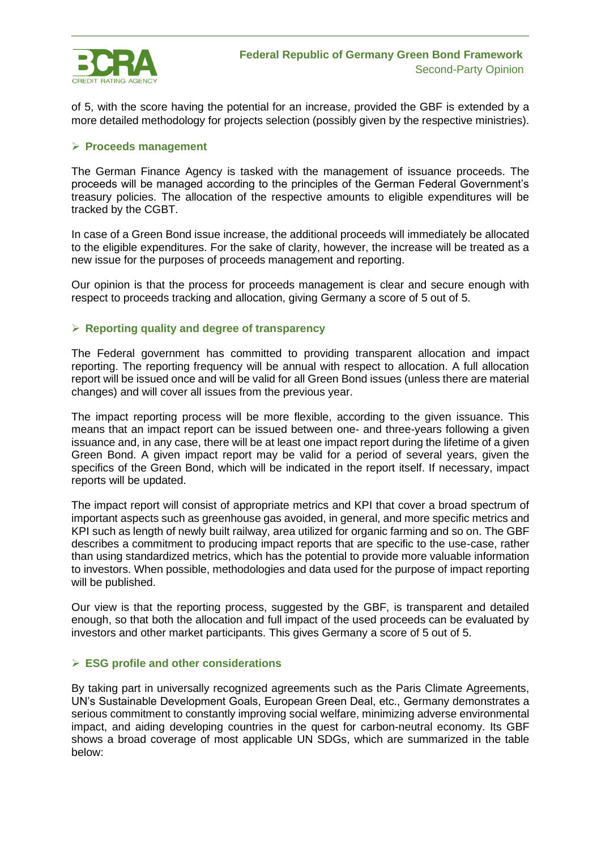

of 5, with the score having the potential for an increase, provided the GBF is extended by a more detailed methodology for projects selection (possibly given by the respective ministries).

#### ➢ **Proceeds management**

The German Finance Agency is tasked with the management of issuance proceeds. The proceeds will be managed according to the principles of the German Federal Government's treasury policies. The allocation of the respective amounts to eligible expenditures will be tracked by the CGBT.

In case of a Green Bond issue increase, the additional proceeds will immediately be allocated to the eligible expenditures. For the sake of clarity, however, the increase will be treated as a new issue for the purposes of proceeds management and reporting.

Our opinion is that the process for proceeds management is clear and secure enough with respect to proceeds tracking and allocation, giving Germany a score of 5 out of 5.

## ➢ **Reporting quality and degree of transparency**

The Federal government has committed to providing transparent allocation and impact reporting. The reporting frequency will be annual with respect to allocation. A full allocation report will be issued once and will be valid for all Green Bond issues (unless there are material changes) and will cover all issues from the previous year.

The impact reporting process will be more flexible, according to the given issuance. This means that an impact report can be issued between one- and three-years following a given issuance and, in any case, there will be at least one impact report during the lifetime of a given Green Bond. A given impact report may be valid for a period of several years, given the specifics of the Green Bond, which will be indicated in the report itself. If necessary, impact reports will be updated.

The impact report will consist of appropriate metrics and KPI that cover a broad spectrum of important aspects such as greenhouse gas avoided, in general, and more specific metrics and KPI such as length of newly built railway, area utilized for organic farming and so on. The GBF describes a commitment to producing impact reports that are specific to the use-case, rather than using standardized metrics, which has the potential to provide more valuable information to investors. When possible, methodologies and data used for the purpose of impact reporting will be published.

Our view is that the reporting process, suggested by the GBF, is transparent and detailed enough, so that both the allocation and full impact of the used proceeds can be evaluated by investors and other market participants. This gives Germany a score of 5 out of 5.

#### ➢ **ESG profile and other considerations**

By taking part in universally recognized agreements such as the Paris Climate Agreements, UN's Sustainable Development Goals, European Green Deal, etc., Germany demonstrates a serious commitment to constantly improving social welfare, minimizing adverse environmental impact, and aiding developing countries in the quest for carbon-neutral economy. Its GBF shows a broad coverage of most applicable UN SDGs, which are summarized in the table below: